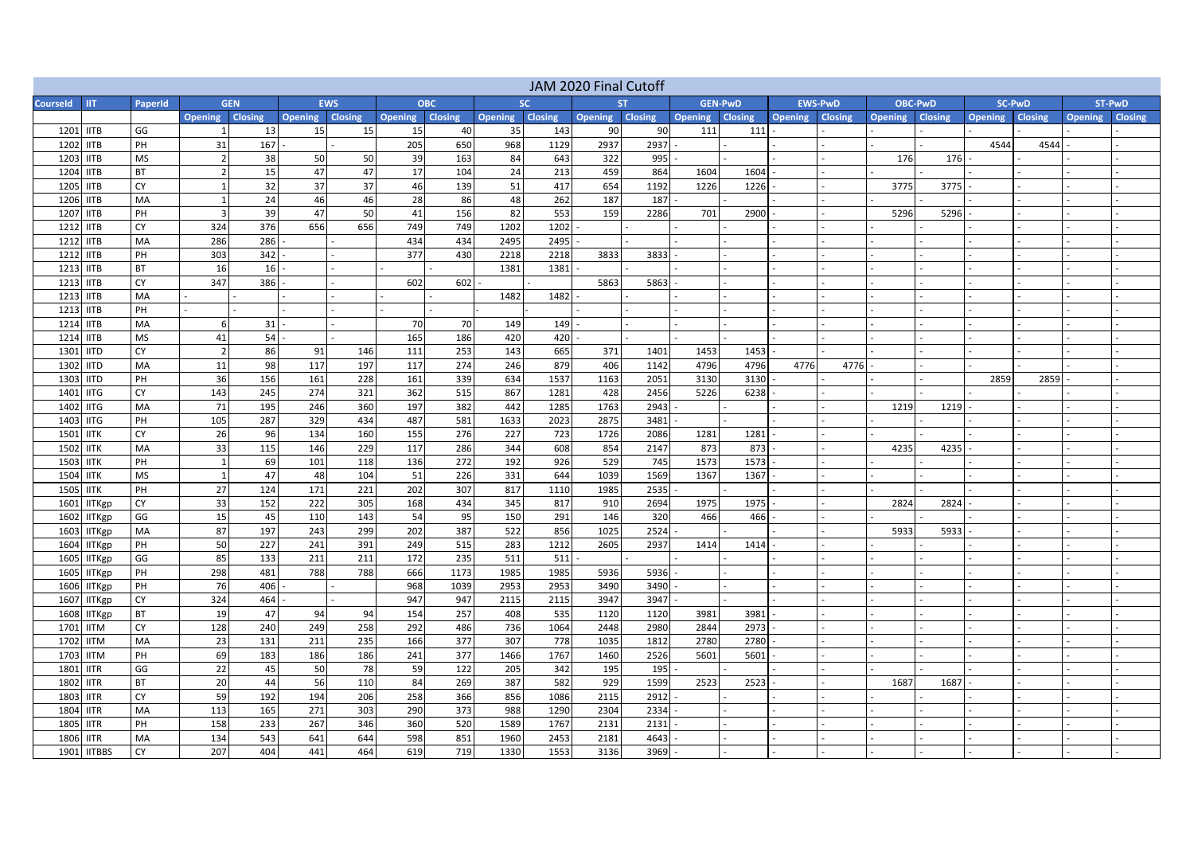| JAM 2020 Final Cutoff                      |                 |                        |          |                        |            |                 |            |                 |             |                 |              |                        |                |                 |      |                |                |                        |      |                        |        |
|--------------------------------------------|-----------------|------------------------|----------|------------------------|------------|-----------------|------------|-----------------|-------------|-----------------|--------------|------------------------|----------------|-----------------|------|----------------|----------------|------------------------|------|------------------------|--------|
| <b>Courseld</b><br><b>IIT</b>              | PaperId         | <b>GEN</b>             |          | <b>EWS</b>             |            | <b>OBC</b>      |            | <b>SC</b>       |             |                 | ST.          |                        | <b>GEN-PWD</b> | <b>EWS-PwD</b>  |      | <b>OBC-PWD</b> |                | <b>SC-PwD</b>          |      |                        | ST-PwD |
|                                            |                 | <b>Opening Closing</b> |          | <b>Opening Closing</b> |            | Opening Closing |            | Opening Closing |             | Opening Closing |              | <b>Opening Closing</b> |                | Opening Closing |      | Opening        | <b>Closing</b> | <b>Opening Closing</b> |      | <b>Opening Closing</b> |        |
| 1201 IITB                                  | GG              |                        | 13       | 15                     | 15         | 15              | 40         | 35              | 143         | 90              | 90           | 111                    | 111            |                 |      |                |                |                        |      |                        |        |
| 1202<br><b>IITB</b>                        | PH              | 31                     | 167      |                        |            | 205             | 650        | 968             | 1129        | 2937            | 2937         |                        |                |                 |      |                |                | 4544                   | 4544 |                        |        |
| 1203<br><b>IITB</b>                        | <b>MS</b>       | $\overline{2}$         | 38       | 50                     | 50         | 39              | 163        | 84              | 643         | 322             | 995          |                        |                |                 |      | 176            | 176            |                        |      |                        |        |
| 1204<br><b>IITB</b>                        | <b>BT</b>       |                        | 15       | 47                     | 47         | 17              | 104        | 24              | 213         | 459             | 864          | 1604                   | 1604           |                 |      |                |                |                        |      |                        |        |
| 1205<br><b>IITB</b>                        | CY              |                        | 32       | 37                     | 37         | 46              | 139        | 51              | 417         | 654             | 1192         | 1226                   | 1226           |                 |      | 3775           | 3775           |                        |      |                        |        |
| 1206<br><b>IITB</b>                        | MA              |                        | 24       | 46                     | 46         | 28              | 86         | 48              | 262         | 187             | 187          |                        |                |                 |      |                |                |                        |      |                        |        |
| 1207<br><b>IITB</b>                        | PH              |                        | 39       | 47                     | 50         | 41              | 156        | 82              | 553         | 159             | 2286         | 701                    | 2900           |                 |      | 5296           | 5296           |                        |      |                        |        |
| 1212<br><b>IITB</b>                        | CY              | 324                    | 376      | 656                    | 656        | 749             | 749        | 1202            | 1202        |                 |              |                        |                |                 |      |                |                |                        |      |                        |        |
| 1212<br><b>IITB</b>                        | MA              | 286                    | 286      |                        |            | 434             | 434        | 2495            | 2495        |                 |              |                        |                |                 |      |                |                |                        |      |                        |        |
| 1212<br><b>IITB</b>                        | PH              | 303                    | 342      |                        |            | 377             | 430        | 2218            | 2218        | 3833            | 3833         |                        |                |                 |      |                |                |                        |      |                        |        |
| 1213<br><b>IITB</b>                        | <b>BT</b>       | 16                     | 16       |                        |            |                 |            | 1381            | 1381        |                 |              |                        |                |                 |      |                |                |                        |      |                        |        |
| 1213<br><b>IITB</b>                        | СY              | 347                    | 386      |                        |            | 602             | 602        |                 |             | 5863            | 5863         |                        |                |                 |      |                |                |                        |      |                        |        |
| 1213<br><b>IITB</b>                        | MA              |                        |          |                        |            |                 |            | 1482            | 1482        |                 |              |                        |                |                 |      |                |                |                        |      |                        |        |
| 1213<br><b>IITB</b>                        | PH              |                        |          |                        |            |                 |            |                 |             |                 |              |                        |                |                 |      |                |                |                        |      |                        |        |
| 1214<br><b>IITB</b>                        | MA              | 6                      | 31       |                        |            | 70              | 70         | 149             | 149         |                 |              |                        |                |                 |      |                |                |                        |      |                        |        |
| 1214 IITB                                  | <b>MS</b>       | 41                     | 54       |                        |            | 165             | 186        | 420             | 420         |                 |              |                        |                |                 |      |                |                |                        |      |                        |        |
| 1301<br><b>IITD</b>                        | CY              | $\overline{2}$         | 86       | 91                     | 146        | 111             | 253        | 143             | 665         | 371             | 1401         | 1453                   | 1453           |                 |      |                |                |                        |      |                        |        |
| 1302<br><b>IITD</b>                        | MA              | 11                     | 98       | 117                    | 197        | 117             | 274        | 246             | 879         | 406             | 1142         | 4796                   | 4796           | 4776            | 4776 |                |                |                        |      |                        |        |
| 1303<br><b>IITD</b>                        | PH              | 36                     | 156      | 161                    | 228        | 161             | 339        | 634             | 1537        | 1163            | 2051         | 3130                   | 3130           |                 |      |                |                | 2859                   | 2859 |                        |        |
| 1401<br><b>IITG</b>                        | CY              | 143                    | 245      | 274                    | 321        | 362             | 515        | 867             | 1281        | 428             | 2456         | 5226                   | 6238           |                 |      |                |                |                        |      |                        |        |
| 1402<br><b>IITG</b>                        | MA              | 71                     | 195      | 246                    | 360        | 197             | 382        | 442             | 1285        | 1763            | 2943         |                        |                |                 |      | 1219           | 1219           |                        |      |                        |        |
| 1403<br><b>IITG</b>                        | PH              | 105                    | 287      | 329                    | 434        | 487             | 581        | 1633            | 2023        | 2875            | 3481         |                        |                |                 |      |                |                |                        |      |                        |        |
| 1501<br><b>IITK</b>                        | CY              | 26                     | 96       | 134                    | 160        | 155             | 276        | 227             | 723         | 1726            | 2086         | 1281                   | 1281           |                 |      |                |                |                        |      |                        |        |
| 1502<br><b>IITK</b>                        | MA              | 33                     | 115      | 146                    | 229        | 117             | 286        | 344             | 608         | 854             | 2147         | 873                    | 873            |                 |      | 4235           | 4235           |                        |      |                        |        |
| 1503<br><b>IITK</b>                        | PH              | $\mathbf{1}$           | 69       | 101                    | 118        | 136             | 272        | 192             | 926         | 529             | 745          | 1573                   | 1573           |                 |      |                |                |                        |      |                        |        |
| 1504<br><b>IITK</b>                        | <b>MS</b>       | $\overline{1}$         | 47       | 48                     | 104        | 51              | 226        | 331             | 644         | 1039            | 1569         | 1367                   | 1367           |                 |      |                |                |                        |      |                        |        |
| 1505<br><b>IITK</b>                        | PH              | 27                     | 124      | 171                    | 221        | 202             | 307        | 817             | 1110        | 1985            | 2535         |                        |                |                 |      |                |                |                        |      |                        |        |
| 1601<br><b>IITKgp</b>                      | CY              | 33                     | 152      | 222                    | 305        | 168             | 434        | 345             | 817         | 910             | 2694         | 1975                   | 1975           |                 |      | 2824           | 2824           |                        |      |                        |        |
| 1602<br><b>IITKgp</b>                      | GG              | 15                     | 45       | 110                    | 143        | 54              | 95         | 150             | 291         | 146             | 320          | 466                    | 466            |                 |      |                |                |                        |      |                        |        |
| 1603<br><b>IITKgp</b>                      | MA              | 87                     | 197      | 243                    | 299        | 202             | 387        | 522             | 856         | 1025            | 2524         |                        |                |                 |      | 5933           | 5933           |                        |      |                        |        |
| 1604<br><b>IITKgp</b>                      | PH              | 50                     | 227      | 241                    | 391        | 249             | 515        | 283             | 1212        | 2605            | 2937         | 1414                   | 1414           |                 |      |                |                |                        |      |                        |        |
| 1605<br><b>IITKgp</b>                      | GG              | 85                     | 133      | 211                    | 211        | 172             | 235        | 511             | 511         |                 |              |                        |                |                 |      |                |                |                        |      |                        |        |
| 1605<br><b>IITKgp</b>                      | PH              | 298                    | 481      | 788                    | 788        | 666             | 1173       | 1985            | 1985        | 5936            | 5936         |                        |                |                 |      |                |                |                        |      |                        |        |
| 1606<br><b>IITKgp</b>                      | PH              | 76                     | 406      |                        |            | 968             | 1039       | 2953            | 2953        | 3490            | 3490         |                        |                |                 |      |                |                |                        |      |                        |        |
| 1607<br><b>IITKgp</b>                      | CY              | 324                    | 464      |                        |            | 947             | 947        | 2115            | 2115        | 3947            | 3947         |                        |                |                 |      |                |                |                        |      |                        |        |
| 1608<br><b>IITKgp</b>                      | <b>BT</b>       | 19                     | 47       | 94                     | 94         | 154             | 257        | 408             | 535         | 1120            | 1120         | 3981                   | 3981           |                 |      |                |                |                        |      |                        |        |
| 1701<br><b>IITM</b>                        | CY              | 128                    | 240      | 249<br>211             | 258<br>235 | 292<br>166      | 486<br>377 | 736<br>307      | 1064<br>778 | 2448<br>1035    | 2980<br>1812 | 2844<br>2780           | 2973<br>2780   |                 |      |                |                |                        |      |                        |        |
| 1702<br><b>IITM</b><br>1703                | MA              | 23                     | 131      |                        |            |                 |            |                 |             |                 |              |                        |                |                 |      |                |                |                        |      |                        |        |
| <b>IITM</b>                                | PH              | 69<br>22               | 183      | 186                    | 186<br>78  | 241             | 377        | 1466            | 1767        | 1460            | 2526         | 5601                   | 5601           |                 |      |                |                |                        |      |                        |        |
| 1801<br><b>IITR</b><br>1802<br><b>IITR</b> | GG<br><b>BT</b> | 20                     | 45<br>44 | 50<br>56               | 110        | 59<br>84        | 122<br>269 | 205<br>387      | 342<br>582  | 195<br>929      | 195<br>1599  | 2523                   | 2523           |                 |      | 1687           | 1687           |                        |      |                        |        |
| 1803<br><b>IITR</b>                        | CY              | 59                     | 192      | 194                    | 206        | 258             | 366        | 856             | 1086        | 2115            | 2912         |                        |                |                 |      |                |                |                        |      |                        |        |
| 1804<br><b>IITR</b>                        | MA              | 113                    | 165      | 271                    | 303        | 290             | 373        | 988             | 1290        | 2304            | 2334         |                        |                |                 |      |                |                |                        |      |                        |        |
| <b>IITR</b><br>1805                        | PH              | 158                    | 233      | 267                    | 346        | 360             | 520        | 1589            | 1767        | 2131            | 2131         |                        |                |                 |      |                |                |                        |      |                        |        |
| 1806<br><b>IITR</b>                        | MA              | 134                    | 543      | 641                    | 644        | 598             | 851        | 1960            | 2453        | 2181            | 4643         |                        |                |                 |      |                |                |                        |      |                        |        |
| 1901<br><b>IITBBS</b>                      | СY              | 207                    | 404      | 441                    | 464        | 619             | 719        | 1330            | 1553        | 3136            | 3969         |                        |                |                 |      |                |                |                        |      |                        |        |
|                                            |                 |                        |          |                        |            |                 |            |                 |             |                 |              |                        |                |                 |      |                |                |                        |      |                        |        |